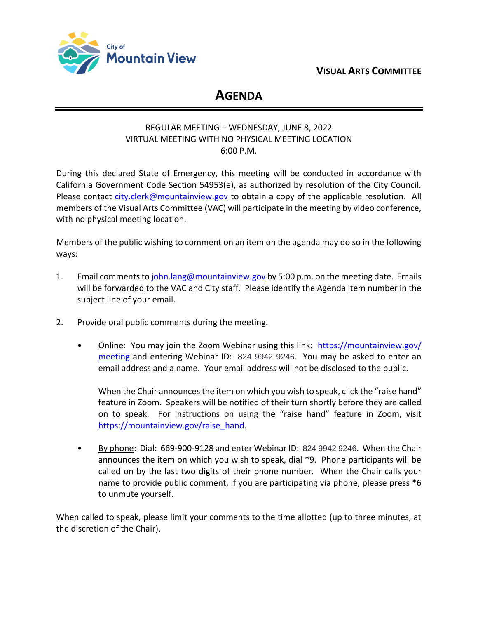**VISUAL ARTS COMMITTEE**



# **AGENDA**

## REGULAR MEETING – WEDNESDAY, JUNE 8, 2022 VIRTUAL MEETING WITH NO PHYSICAL MEETING LOCATION 6:00 P.M.

During this declared State of Emergency, this meeting will be conducted in accordance with California Government Code Section 54953(e), as authorized by resolution of the City Council. Please contact [city.clerk@mountainview.gov](mailto:city.clerk@mountainview.gov) to obtain a copy of the applicable resolution. All members of the Visual Arts Committee (VAC) will participate in the meeting by video conference, with no physical meeting location.

Members of the public wishing to comment on an item on the agenda may do so in the following ways:

- 1. Email comments to [john.lang@mountainview.gov](mailto:john.lang@mountainview.gov) by 5:00 p.m. on the meeting date. Emails will be forwarded to the VAC and City staff. Please identify the Agenda Item number in the subject line of your email.
- 2. Provide oral public comments during the meeting.
	- Online: You may join the Zoom Webinar using this link: [https://mountainview.gov/](https://mountainview.gov/meeting) [meeting](https://mountainview.gov/meeting) and entering Webinar ID: 824 9942 9246. You may be asked to enter an email address and a name. Your email address will not be disclosed to the public.

When the Chair announces the item on which you wish to speak, click the "raise hand" feature in Zoom. Speakers will be notified of their turn shortly before they are called on to speak. For instructions on using the "raise hand" feature in Zoom, visit [https://mountainview.gov/raise\\_hand.](https://mountainview.gov/raise_hand)

• By phone: Dial: 669-900-9128 and enter Webinar ID: 824 9942 9246. When the Chair announces the item on which you wish to speak, dial \*9. Phone participants will be called on by the last two digits of their phone number. When the Chair calls your name to provide public comment, if you are participating via phone, please press \*6 to unmute yourself.

When called to speak, please limit your comments to the time allotted (up to three minutes, at the discretion of the Chair).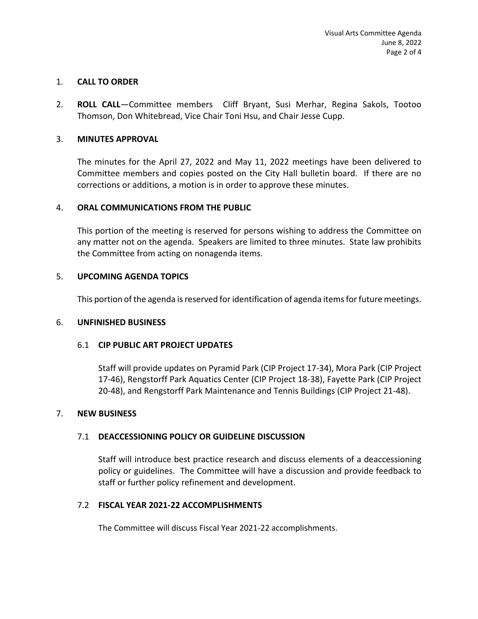## 1. **CALL TO ORDER**

2. **ROLL CALL**—Committee members Cliff Bryant, Susi Merhar, Regina Sakols, Tootoo Thomson, Don Whitebread, Vice Chair Toni Hsu, and Chair Jesse Cupp.

## 3. **MINUTES APPROVAL**

The minutes for the April 27, 2022 and May 11, 2022 meetings have been delivered to Committee members and copies posted on the City Hall bulletin board. If there are no corrections or additions, a motion is in order to approve these minutes.

### 4. **ORAL COMMUNICATIONS FROM THE PUBLIC**

This portion of the meeting is reserved for persons wishing to address the Committee on any matter not on the agenda. Speakers are limited to three minutes. State law prohibits the Committee from acting on nonagenda items.

### 5. **UPCOMING AGENDA TOPICS**

This portion of the agenda is reserved for identification of agenda items for future meetings.

#### 6. **UNFINISHED BUSINESS**

#### 6.1 **CIP PUBLIC ART PROJECT UPDATES**

Staff will provide updates on Pyramid Park (CIP Project 17-34), Mora Park (CIP Project 17-46), Rengstorff Park Aquatics Center (CIP Project 18-38), Fayette Park (CIP Project 20-48), and Rengstorff Park Maintenance and Tennis Buildings (CIP Project 21-48).

#### 7. **NEW BUSINESS**

## 7.1 **DEACCESSIONING POLICY OR GUIDELINE DISCUSSION**

Staff will introduce best practice research and discuss elements of a deaccessioning policy or guidelines. The Committee will have a discussion and provide feedback to staff or further policy refinement and development.

#### 7.2 **FISCAL YEAR 2021-22 ACCOMPLISHMENTS**

The Committee will discuss Fiscal Year 2021-22 accomplishments.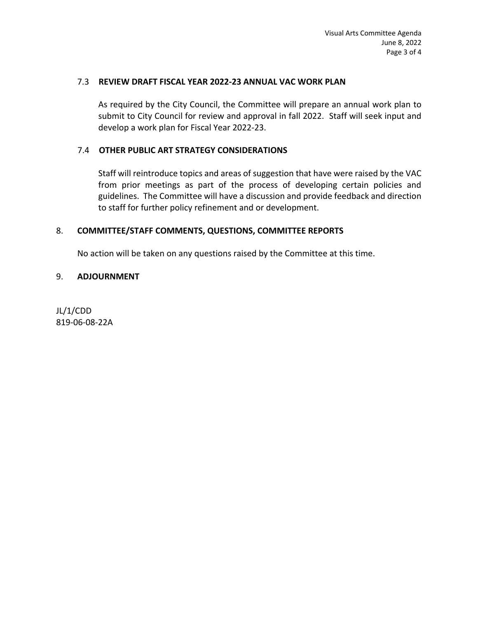### 7.3 **REVIEW DRAFT FISCAL YEAR 2022-23 ANNUAL VAC WORK PLAN**

As required by the City Council, the Committee will prepare an annual work plan to submit to City Council for review and approval in fall 2022. Staff will seek input and develop a work plan for Fiscal Year 2022-23.

## 7.4 **OTHER PUBLIC ART STRATEGY CONSIDERATIONS**

Staff will reintroduce topics and areas of suggestion that have were raised by the VAC from prior meetings as part of the process of developing certain policies and guidelines. The Committee will have a discussion and provide feedback and direction to staff for further policy refinement and or development.

### 8. **COMMITTEE/STAFF COMMENTS, QUESTIONS, COMMITTEE REPORTS**

No action will be taken on any questions raised by the Committee at this time.

### 9. **ADJOURNMENT**

JL/1/CDD 819-06-08-22A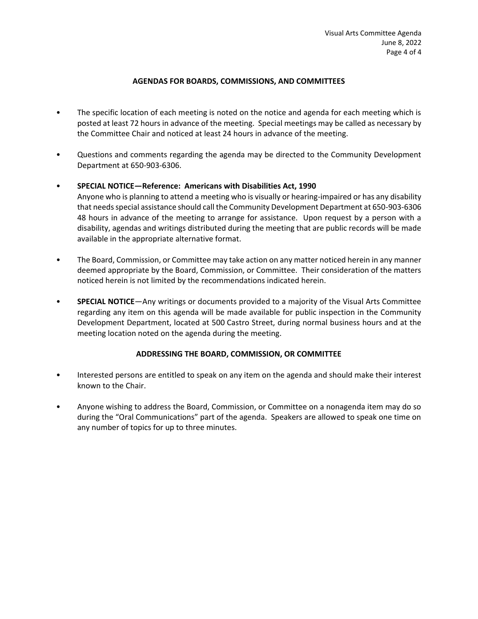#### **AGENDAS FOR BOARDS, COMMISSIONS, AND COMMITTEES**

- The specific location of each meeting is noted on the notice and agenda for each meeting which is posted at least 72 hours in advance of the meeting. Special meetings may be called as necessary by the Committee Chair and noticed at least 24 hours in advance of the meeting.
- Questions and comments regarding the agenda may be directed to the Community Development Department at 650-903-6306.

### • **SPECIAL NOTICE—Reference: Americans with Disabilities Act, 1990**

- Anyone who is planning to attend a meeting who is visually or hearing-impaired or has any disability that needs special assistance should call the Community Development Department at 650-903-6306 48 hours in advance of the meeting to arrange for assistance. Upon request by a person with a disability, agendas and writings distributed during the meeting that are public records will be made available in the appropriate alternative format.
- The Board, Commission, or Committee may take action on any matter noticed herein in any manner deemed appropriate by the Board, Commission, or Committee. Their consideration of the matters noticed herein is not limited by the recommendations indicated herein.
- **SPECIAL NOTICE**—Any writings or documents provided to a majority of the Visual Arts Committee regarding any item on this agenda will be made available for public inspection in the Community Development Department, located at 500 Castro Street, during normal business hours and at the meeting location noted on the agenda during the meeting.

#### **ADDRESSING THE BOARD, COMMISSION, OR COMMITTEE**

- Interested persons are entitled to speak on any item on the agenda and should make their interest known to the Chair.
- Anyone wishing to address the Board, Commission, or Committee on a nonagenda item may do so during the "Oral Communications" part of the agenda. Speakers are allowed to speak one time on any number of topics for up to three minutes.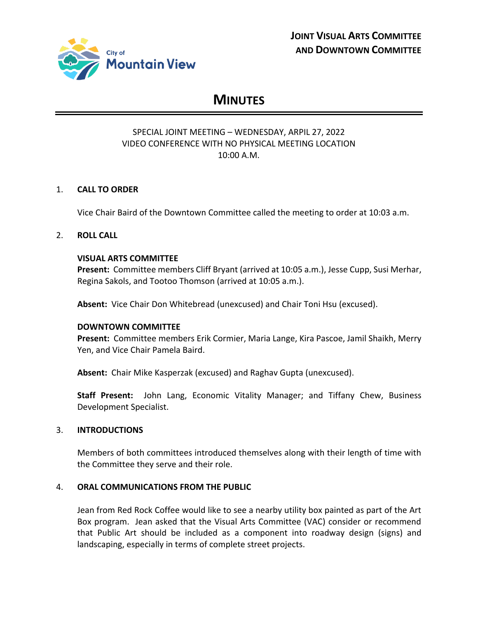

# **MINUTES**

## SPECIAL JOINT MEETING – WEDNESDAY, ARPIL 27, 2022 VIDEO CONFERENCE WITH NO PHYSICAL MEETING LOCATION 10:00 A.M.

## 1. **CALL TO ORDER**

Vice Chair Baird of the Downtown Committee called the meeting to order at 10:03 a.m.

#### 2. **ROLL CALL**

#### **VISUAL ARTS COMMITTEE**

**Present:** Committee members Cliff Bryant (arrived at 10:05 a.m.), Jesse Cupp, Susi Merhar, Regina Sakols, and Tootoo Thomson (arrived at 10:05 a.m.).

**Absent:** Vice Chair Don Whitebread (unexcused) and Chair Toni Hsu (excused).

#### **DOWNTOWN COMMITTEE**

**Present:** Committee members Erik Cormier, Maria Lange, Kira Pascoe, Jamil Shaikh, Merry Yen, and Vice Chair Pamela Baird.

**Absent:** Chair Mike Kasperzak (excused) and Raghav Gupta (unexcused).

**Staff Present:** John Lang, Economic Vitality Manager; and Tiffany Chew, Business Development Specialist.

### 3. **INTRODUCTIONS**

Members of both committees introduced themselves along with their length of time with the Committee they serve and their role.

#### 4. **ORAL COMMUNICATIONS FROM THE PUBLIC**

Jean from Red Rock Coffee would like to see a nearby utility box painted as part of the Art Box program. Jean asked that the Visual Arts Committee (VAC) consider or recommend that Public Art should be included as a component into roadway design (signs) and landscaping, especially in terms of complete street projects.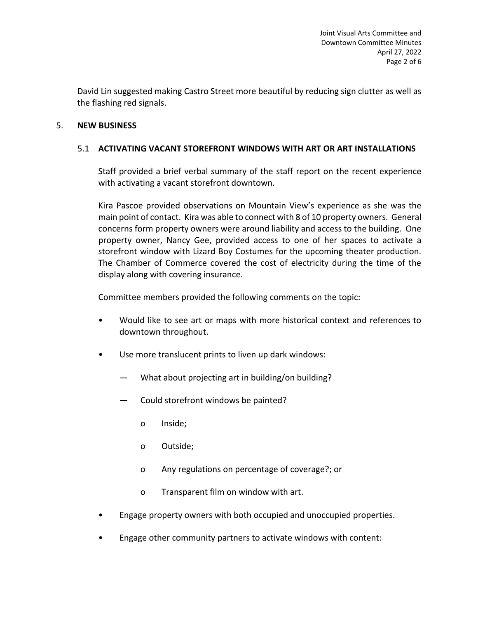David Lin suggested making Castro Street more beautiful by reducing sign clutter as well as the flashing red signals.

## 5. **NEW BUSINESS**

## 5.1 **ACTIVATING VACANT STOREFRONT WINDOWS WITH ART OR ART INSTALLATIONS**

Staff provided a brief verbal summary of the staff report on the recent experience with activating a vacant storefront downtown.

Kira Pascoe provided observations on Mountain View's experience as she was the main point of contact. Kira was able to connect with 8 of 10 property owners. General concerns form property owners were around liability and access to the building. One property owner, Nancy Gee, provided access to one of her spaces to activate a storefront window with Lizard Boy Costumes for the upcoming theater production. The Chamber of Commerce covered the cost of electricity during the time of the display along with covering insurance.

Committee members provided the following comments on the topic:

- Would like to see art or maps with more historical context and references to downtown throughout.
- Use more translucent prints to liven up dark windows:
	- What about projecting art in building/on building?
	- Could storefront windows be painted?
		- o Inside;
		- o Outside;
		- o Any regulations on percentage of coverage?; or
		- o Transparent film on window with art.
- Engage property owners with both occupied and unoccupied properties.
- Engage other community partners to activate windows with content: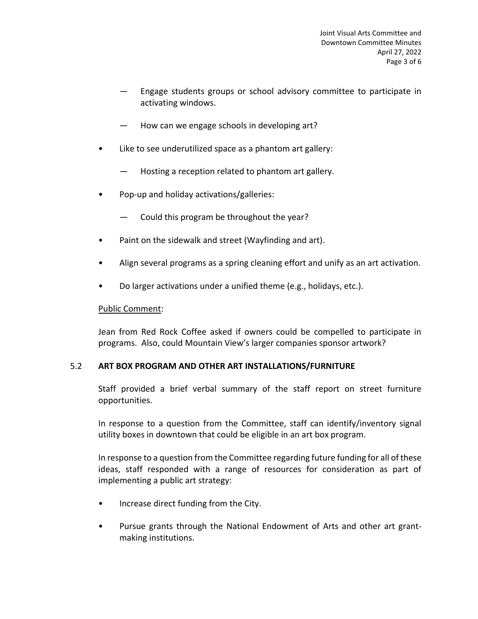- Engage students groups or school advisory committee to participate in activating windows.
- How can we engage schools in developing art?
- Like to see underutilized space as a phantom art gallery:
	- Hosting a reception related to phantom art gallery.
- Pop-up and holiday activations/galleries:
	- Could this program be throughout the year?
- Paint on the sidewalk and street (Wayfinding and art).
- Align several programs as a spring cleaning effort and unify as an art activation.
- Do larger activations under a unified theme (e.g., holidays, etc.).

## Public Comment:

Jean from Red Rock Coffee asked if owners could be compelled to participate in programs. Also, could Mountain View's larger companies sponsor artwork?

## 5.2 **ART BOX PROGRAM AND OTHER ART INSTALLATIONS/FURNITURE**

Staff provided a brief verbal summary of the staff report on street furniture opportunities.

In response to a question from the Committee, staff can identify/inventory signal utility boxes in downtown that could be eligible in an art box program.

In response to a question from the Committee regarding future funding for all of these ideas, staff responded with a range of resources for consideration as part of implementing a public art strategy:

- Increase direct funding from the City.
- Pursue grants through the National Endowment of Arts and other art grantmaking institutions.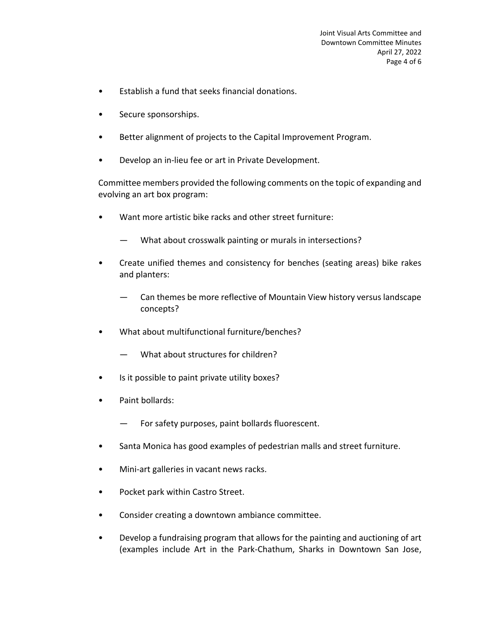- Establish a fund that seeks financial donations.
- Secure sponsorships.
- Better alignment of projects to the Capital Improvement Program.
- Develop an in-lieu fee or art in Private Development.

Committee members provided the following comments on the topic of expanding and evolving an art box program:

- Want more artistic bike racks and other street furniture:
	- What about crosswalk painting or murals in intersections?
- Create unified themes and consistency for benches (seating areas) bike rakes and planters:
	- Can themes be more reflective of Mountain View history versus landscape concepts?
- What about multifunctional furniture/benches?
	- What about structures for children?
- Is it possible to paint private utility boxes?
- Paint bollards:
	- For safety purposes, paint bollards fluorescent.
- Santa Monica has good examples of pedestrian malls and street furniture.
- Mini-art galleries in vacant news racks.
- Pocket park within Castro Street.
- Consider creating a downtown ambiance committee.
- Develop a fundraising program that allows for the painting and auctioning of art (examples include Art in the Park-Chathum, Sharks in Downtown San Jose,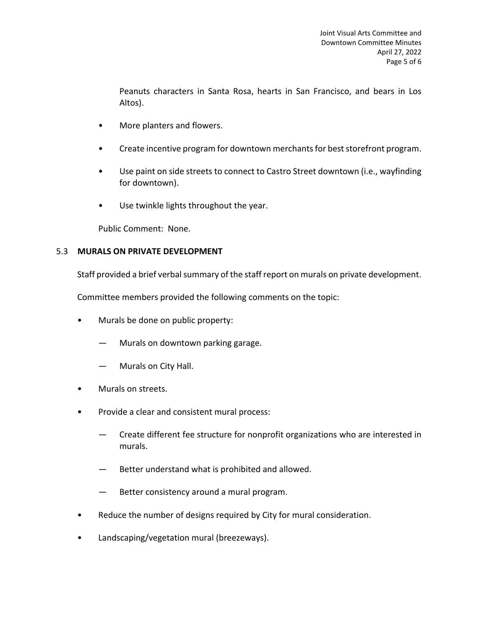Peanuts characters in Santa Rosa, hearts in San Francisco, and bears in Los Altos).

- More planters and flowers.
- Create incentive program for downtown merchants for best storefront program.
- Use paint on side streets to connect to Castro Street downtown (i.e., wayfinding for downtown).
- Use twinkle lights throughout the year.

Public Comment: None.

## 5.3 **MURALS ON PRIVATE DEVELOPMENT**

Staff provided a brief verbal summary of the staff report on murals on private development.

Committee members provided the following comments on the topic:

- Murals be done on public property:
	- Murals on downtown parking garage.
	- Murals on City Hall.
- Murals on streets.
- Provide a clear and consistent mural process:
	- Create different fee structure for nonprofit organizations who are interested in murals.
	- Better understand what is prohibited and allowed.
	- Better consistency around a mural program.
- Reduce the number of designs required by City for mural consideration.
- Landscaping/vegetation mural (breezeways).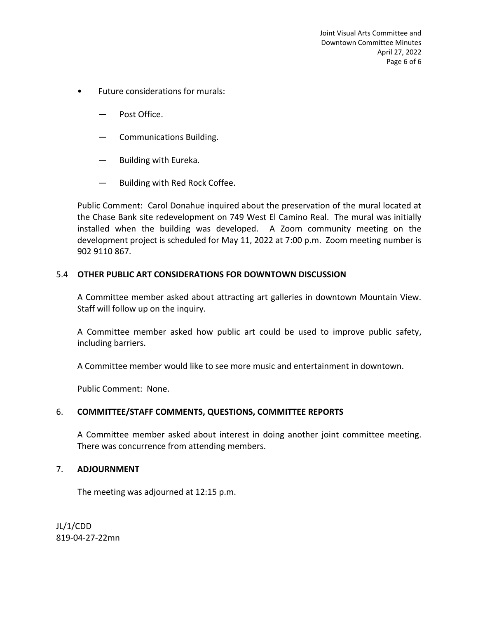- Future considerations for murals:
	- Post Office.
	- Communications Building.
	- Building with Eureka.
	- Building with Red Rock Coffee.

Public Comment: Carol Donahue inquired about the preservation of the mural located at the Chase Bank site redevelopment on 749 West El Camino Real. The mural was initially installed when the building was developed. A Zoom community meeting on the development project is scheduled for May 11, 2022 at 7:00 p.m. Zoom meeting number is 902 9110 867.

## 5.4 **OTHER PUBLIC ART CONSIDERATIONS FOR DOWNTOWN DISCUSSION**

A Committee member asked about attracting art galleries in downtown Mountain View. Staff will follow up on the inquiry.

A Committee member asked how public art could be used to improve public safety, including barriers.

A Committee member would like to see more music and entertainment in downtown.

Public Comment: None.

## 6. **COMMITTEE/STAFF COMMENTS, QUESTIONS, COMMITTEE REPORTS**

A Committee member asked about interest in doing another joint committee meeting. There was concurrence from attending members.

## 7. **ADJOURNMENT**

The meeting was adjourned at 12:15 p.m.

JL/1/CDD 819-04-27-22mn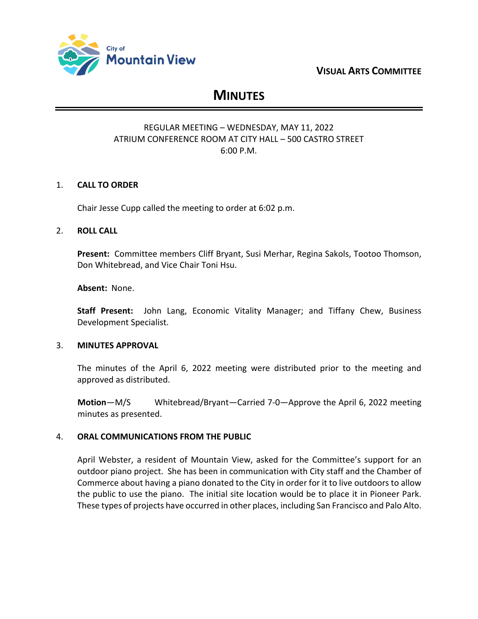

## **VISUAL ARTS COMMITTEE**

# **MINUTES**

## REGULAR MEETING – WEDNESDAY, MAY 11, 2022 ATRIUM CONFERENCE ROOM AT CITY HALL – 500 CASTRO STREET 6:00 P.M.

## 1. **CALL TO ORDER**

Chair Jesse Cupp called the meeting to order at 6:02 p.m.

## 2. **ROLL CALL**

**Present:** Committee members Cliff Bryant, Susi Merhar, Regina Sakols, Tootoo Thomson, Don Whitebread, and Vice Chair Toni Hsu.

**Absent:** None.

**Staff Present:** John Lang, Economic Vitality Manager; and Tiffany Chew, Business Development Specialist.

## 3. **MINUTES APPROVAL**

The minutes of the April 6, 2022 meeting were distributed prior to the meeting and approved as distributed.

**Motion**—M/S Whitebread/Bryant—Carried 7-0—Approve the April 6, 2022 meeting minutes as presented.

## 4. **ORAL COMMUNICATIONS FROM THE PUBLIC**

April Webster, a resident of Mountain View, asked for the Committee's support for an outdoor piano project. She has been in communication with City staff and the Chamber of Commerce about having a piano donated to the City in order for it to live outdoors to allow the public to use the piano. The initial site location would be to place it in Pioneer Park. These types of projects have occurred in other places, including San Francisco and Palo Alto.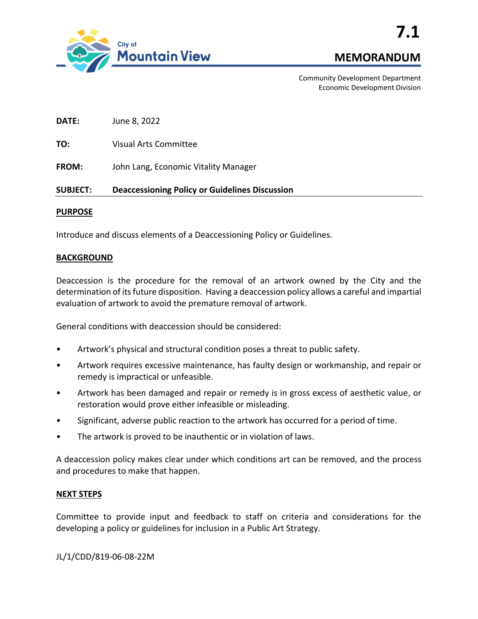

Community Development Department Economic Development Division

**DATE:** June 8, 2022

**TO:** Visual Arts Committee

**FROM:** John Lang, Economic Vitality Manager

### **SUBJECT: Deaccessioning Policy or Guidelines Discussion**

#### **PURPOSE**

Introduce and discuss elements of a Deaccessioning Policy or Guidelines.

### **BACKGROUND**

Deaccession is the procedure for the removal of an artwork owned by the City and the determination of its future disposition. Having a deaccession policy allows a careful and impartial evaluation of artwork to avoid the premature removal of artwork.

General conditions with deaccession should be considered:

- Artwork's physical and structural condition poses a threat to public safety.
- Artwork requires excessive maintenance, has faulty design or workmanship, and repair or remedy is impractical or unfeasible.
- Artwork has been damaged and repair or remedy is in gross excess of aesthetic value, or restoration would prove either infeasible or misleading.
- Significant, adverse public reaction to the artwork has occurred for a period of time.
- The artwork is proved to be inauthentic or in violation of laws.

A deaccession policy makes clear under which conditions art can be removed, and the process and procedures to make that happen.

#### **NEXT STEPS**

Committee to provide input and feedback to staff on criteria and considerations for the developing a policy or guidelines for inclusion in a Public Art Strategy.

JL/1/CDD/819-06-08-22M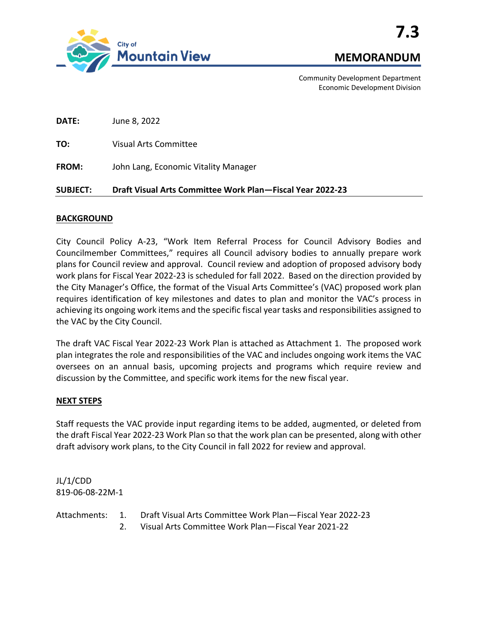

Community Development Department Economic Development Division

**DATE:** June 8, 2022

**TO:** Visual Arts Committee

**FROM:** John Lang, Economic Vitality Manager

### **SUBJECT: Draft Visual Arts Committee Work Plan—Fiscal Year 2022-23**

### **BACKGROUND**

City Council Policy A-23, "Work Item Referral Process for Council Advisory Bodies and Councilmember Committees," requires all Council advisory bodies to annually prepare work plans for Council review and approval. Council review and adoption of proposed advisory body work plans for Fiscal Year 2022-23 is scheduled for fall 2022. Based on the direction provided by the City Manager's Office, the format of the Visual Arts Committee's (VAC) proposed work plan requires identification of key milestones and dates to plan and monitor the VAC's process in achieving its ongoing work items and the specific fiscal year tasks and responsibilities assigned to the VAC by the City Council.

The draft VAC Fiscal Year 2022-23 Work Plan is attached as Attachment 1. The proposed work plan integrates the role and responsibilities of the VAC and includes ongoing work items the VAC oversees on an annual basis, upcoming projects and programs which require review and discussion by the Committee, and specific work items for the new fiscal year.

#### **NEXT STEPS**

Staff requests the VAC provide input regarding items to be added, augmented, or deleted from the draft Fiscal Year 2022-23 Work Plan so that the work plan can be presented, along with other draft advisory work plans, to the City Council in fall 2022 for review and approval.

JL/1/CDD 819-06-08-22M-1

Attachments: 1. Draft Visual Arts Committee Work Plan—Fiscal Year 2022-23 2. Visual Arts Committee Work Plan—Fiscal Year 2021-22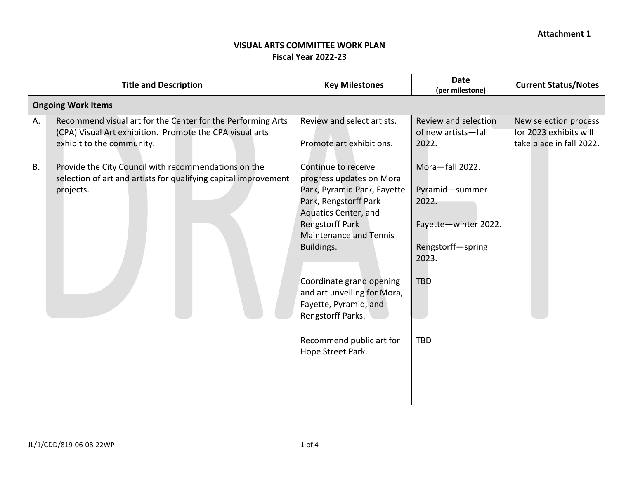## **VISUAL ARTS COMMITTEE WORK PLAN Fiscal Year 2022-23**

|    | <b>Title and Description</b>                                                                                                                         | <b>Key Milestones</b>                                                                                                                                                                                                                                                                                                                                              | <b>Date</b><br>(per milestone)                                                                                               | <b>Current Status/Notes</b>                                                 |  |  |
|----|------------------------------------------------------------------------------------------------------------------------------------------------------|--------------------------------------------------------------------------------------------------------------------------------------------------------------------------------------------------------------------------------------------------------------------------------------------------------------------------------------------------------------------|------------------------------------------------------------------------------------------------------------------------------|-----------------------------------------------------------------------------|--|--|
|    | <b>Ongoing Work Items</b>                                                                                                                            |                                                                                                                                                                                                                                                                                                                                                                    |                                                                                                                              |                                                                             |  |  |
| Α. | Recommend visual art for the Center for the Performing Arts<br>(CPA) Visual Art exhibition. Promote the CPA visual arts<br>exhibit to the community. | Review and select artists.<br>Promote art exhibitions.                                                                                                                                                                                                                                                                                                             | Review and selection<br>of new artists-fall<br>2022.                                                                         | New selection process<br>for 2023 exhibits will<br>take place in fall 2022. |  |  |
| В. | Provide the City Council with recommendations on the<br>selection of art and artists for qualifying capital improvement<br>projects.                 | Continue to receive<br>progress updates on Mora<br>Park, Pyramid Park, Fayette<br>Park, Rengstorff Park<br>Aquatics Center, and<br><b>Rengstorff Park</b><br><b>Maintenance and Tennis</b><br>Buildings.<br>Coordinate grand opening<br>and art unveiling for Mora,<br>Fayette, Pyramid, and<br>Rengstorff Parks.<br>Recommend public art for<br>Hope Street Park. | Mora-fall 2022.<br>Pyramid-summer<br>2022.<br>Fayette-winter 2022.<br>Rengstorff-spring<br>2023.<br><b>TBD</b><br><b>TBD</b> |                                                                             |  |  |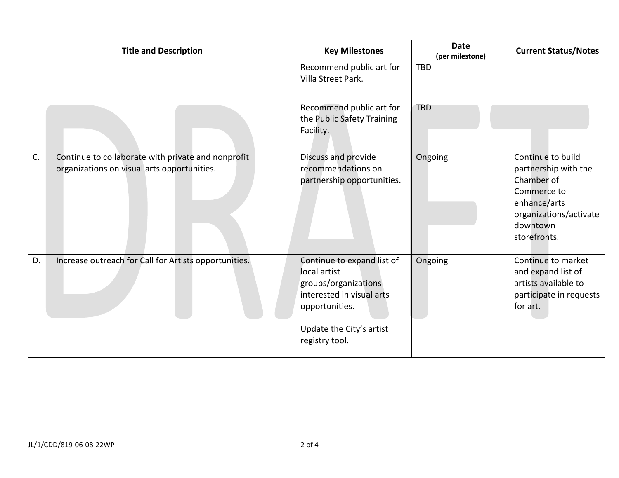| <b>Title and Description</b>                                                                            | <b>Key Milestones</b>                                                                                                                                           | <b>Date</b><br>(per milestone) | <b>Current Status/Notes</b>                                                                                                                  |
|---------------------------------------------------------------------------------------------------------|-----------------------------------------------------------------------------------------------------------------------------------------------------------------|--------------------------------|----------------------------------------------------------------------------------------------------------------------------------------------|
|                                                                                                         | Recommend public art for<br>Villa Street Park.<br>Recommend public art for<br>the Public Safety Training<br>Facility.                                           | <b>TBD</b><br><b>TBD</b>       |                                                                                                                                              |
| C.<br>Continue to collaborate with private and nonprofit<br>organizations on visual arts opportunities. | Discuss and provide<br>recommendations on<br>partnership opportunities.                                                                                         | Ongoing                        | Continue to build<br>partnership with the<br>Chamber of<br>Commerce to<br>enhance/arts<br>organizations/activate<br>downtown<br>storefronts. |
| D.<br>Increase outreach for Call for Artists opportunities.                                             | Continue to expand list of<br>local artist<br>groups/organizations<br>interested in visual arts<br>opportunities.<br>Update the City's artist<br>registry tool. | Ongoing                        | Continue to market<br>and expand list of<br>artists available to<br>participate in requests<br>for art.                                      |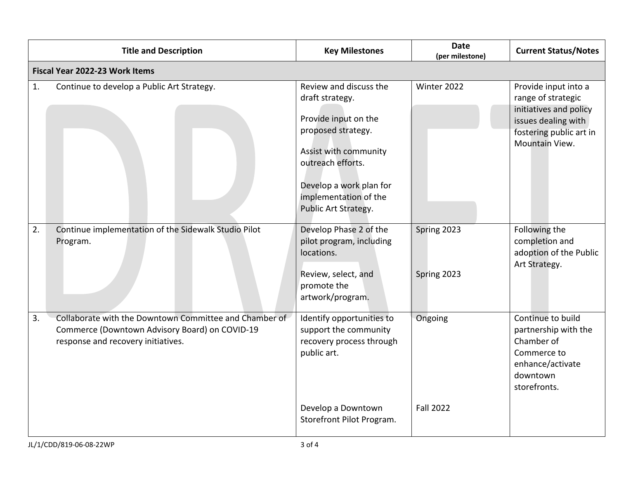|    | <b>Title and Description</b>                                                                                                                   | <b>Key Milestones</b>                                                                                                                                                                                             | <b>Date</b><br>(per milestone) | <b>Current Status/Notes</b>                                                                                                              |  |  |  |
|----|------------------------------------------------------------------------------------------------------------------------------------------------|-------------------------------------------------------------------------------------------------------------------------------------------------------------------------------------------------------------------|--------------------------------|------------------------------------------------------------------------------------------------------------------------------------------|--|--|--|
|    | <b>Fiscal Year 2022-23 Work Items</b>                                                                                                          |                                                                                                                                                                                                                   |                                |                                                                                                                                          |  |  |  |
| 1. | Continue to develop a Public Art Strategy.                                                                                                     | Review and discuss the<br>draft strategy.<br>Provide input on the<br>proposed strategy.<br>Assist with community<br>outreach efforts.<br>Develop a work plan for<br>implementation of the<br>Public Art Strategy. | Winter 2022                    | Provide input into a<br>range of strategic<br>initiatives and policy<br>issues dealing with<br>fostering public art in<br>Mountain View. |  |  |  |
| 2. | Continue implementation of the Sidewalk Studio Pilot<br>Program.                                                                               | Develop Phase 2 of the<br>pilot program, including<br>locations.<br>Review, select, and<br>promote the<br>artwork/program.                                                                                        | Spring 2023<br>Spring 2023     | Following the<br>completion and<br>adoption of the Public<br>Art Strategy.                                                               |  |  |  |
| 3. | Collaborate with the Downtown Committee and Chamber of<br>Commerce (Downtown Advisory Board) on COVID-19<br>response and recovery initiatives. | Identify opportunities to<br>support the community<br>recovery process through<br>public art.<br>Develop a Downtown                                                                                               | Ongoing<br><b>Fall 2022</b>    | Continue to build<br>partnership with the<br>Chamber of<br>Commerce to<br>enhance/activate<br>downtown<br>storefronts.                   |  |  |  |
|    |                                                                                                                                                | Storefront Pilot Program.                                                                                                                                                                                         |                                |                                                                                                                                          |  |  |  |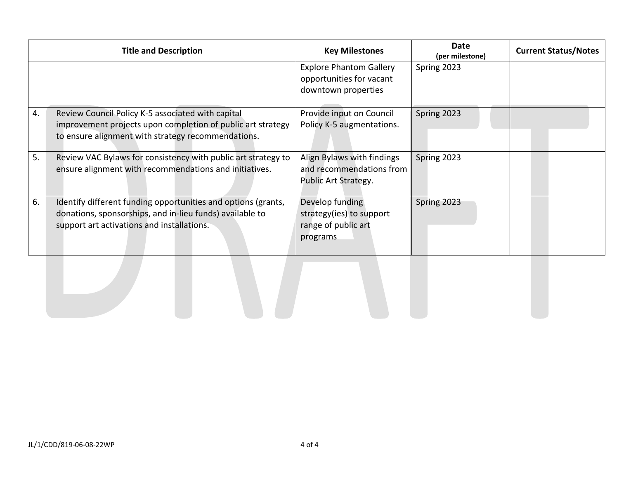|    | <b>Title and Description</b>                                                                                                                                            | <b>Key Milestones</b>                                                             | Date<br>(per milestone) | <b>Current Status/Notes</b> |
|----|-------------------------------------------------------------------------------------------------------------------------------------------------------------------------|-----------------------------------------------------------------------------------|-------------------------|-----------------------------|
|    |                                                                                                                                                                         | <b>Explore Phantom Gallery</b><br>opportunities for vacant<br>downtown properties | Spring 2023             |                             |
| 4. | Review Council Policy K-5 associated with capital<br>improvement projects upon completion of public art strategy<br>to ensure alignment with strategy recommendations.  | Provide input on Council<br>Policy K-5 augmentations.                             | Spring 2023             |                             |
| 5. | Review VAC Bylaws for consistency with public art strategy to<br>ensure alignment with recommendations and initiatives.                                                 | Align Bylaws with findings<br>and recommendations from<br>Public Art Strategy.    | Spring 2023             |                             |
| 6. | Identify different funding opportunities and options (grants,<br>donations, sponsorships, and in-lieu funds) available to<br>support art activations and installations. | Develop funding<br>strategy(ies) to support<br>range of public art<br>programs    | Spring 2023             |                             |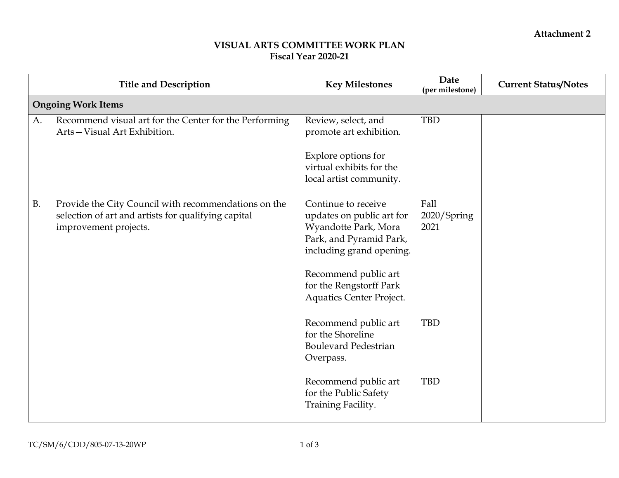## **VISUAL ARTS COMMITTEE WORK PLAN Fiscal Year 2020-21**

|           | <b>Title and Description</b>                                                                                                         | <b>Key Milestones</b>                                                                                                                                                                                                 | Date<br>(per milestone)     | <b>Current Status/Notes</b> |
|-----------|--------------------------------------------------------------------------------------------------------------------------------------|-----------------------------------------------------------------------------------------------------------------------------------------------------------------------------------------------------------------------|-----------------------------|-----------------------------|
|           | <b>Ongoing Work Items</b>                                                                                                            |                                                                                                                                                                                                                       |                             |                             |
| A.        | Recommend visual art for the Center for the Performing<br>Arts-Visual Art Exhibition.                                                | Review, select, and<br>promote art exhibition.                                                                                                                                                                        | <b>TBD</b>                  |                             |
|           |                                                                                                                                      | Explore options for<br>virtual exhibits for the<br>local artist community.                                                                                                                                            |                             |                             |
| <b>B.</b> | Provide the City Council with recommendations on the<br>selection of art and artists for qualifying capital<br>improvement projects. | Continue to receive<br>updates on public art for<br>Wyandotte Park, Mora<br>Park, and Pyramid Park,<br>including grand opening.<br>Recommend public art<br>for the Rengstorff Park<br><b>Aquatics Center Project.</b> | Fall<br>2020/Spring<br>2021 |                             |
|           |                                                                                                                                      | Recommend public art<br>for the Shoreline<br><b>Boulevard Pedestrian</b><br>Overpass.                                                                                                                                 | <b>TBD</b>                  |                             |
|           |                                                                                                                                      | Recommend public art<br>for the Public Safety<br>Training Facility.                                                                                                                                                   | <b>TBD</b>                  |                             |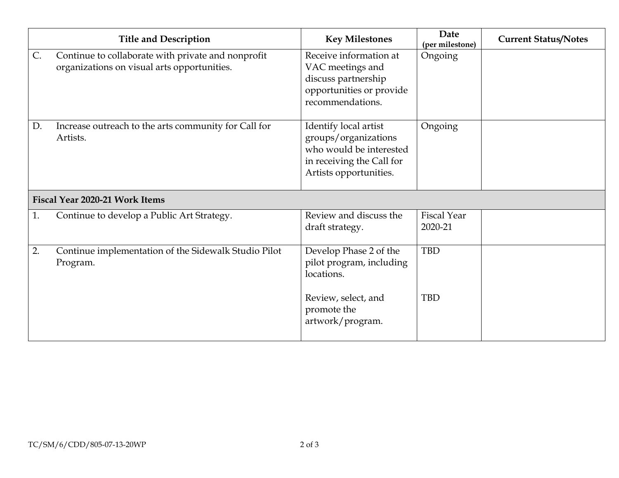|    | <b>Title and Description</b>                                                                      | <b>Key Milestones</b>                                                                                                           | Date<br>(per milestone)       | <b>Current Status/Notes</b> |
|----|---------------------------------------------------------------------------------------------------|---------------------------------------------------------------------------------------------------------------------------------|-------------------------------|-----------------------------|
| C. | Continue to collaborate with private and nonprofit<br>organizations on visual arts opportunities. | Receive information at<br>VAC meetings and<br>discuss partnership<br>opportunities or provide<br>recommendations.               | Ongoing                       |                             |
| D. | Increase outreach to the arts community for Call for<br>Artists.                                  | Identify local artist<br>groups/organizations<br>who would be interested<br>in receiving the Call for<br>Artists opportunities. | Ongoing                       |                             |
|    | Fiscal Year 2020-21 Work Items                                                                    |                                                                                                                                 |                               |                             |
| 1. | Continue to develop a Public Art Strategy.                                                        | Review and discuss the<br>draft strategy.                                                                                       | <b>Fiscal Year</b><br>2020-21 |                             |
| 2. | Continue implementation of the Sidewalk Studio Pilot<br>Program.                                  | Develop Phase 2 of the<br>pilot program, including<br>locations.<br>Review, select, and<br>promote the                          | <b>TBD</b><br><b>TBD</b>      |                             |
|    |                                                                                                   | artwork/program.                                                                                                                |                               |                             |